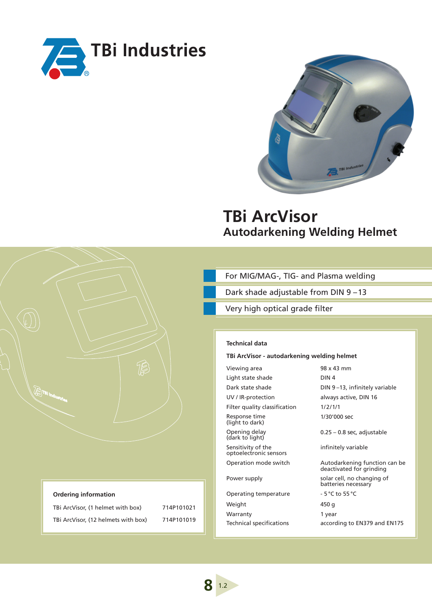



# **TBi ArcVisor Autodarkening Welding Helmet**

| For MIG/MAG-, TIG- and Plasma welding |  |  |  |
|---------------------------------------|--|--|--|
|---------------------------------------|--|--|--|

Dark shade adjustable from DIN 9 – 13

Very high optical grade filter

# **Technical data**

#### **TBi ArcVisor - autodarkening welding helmet**

Viewing area 98 x 43 mm Light state shade DIN 4 UV / IR-protection always active, DIN 16 Filter quality classification 1/2/1/1 Response time (light to dark) Opening delay (dark to light) Sensitivity of the optoelectronic sensors

Operating temperature - 5 °C to 55 °C Weight 450 g Warranty 1 year

Dark state shade DIN 9-13, infinitely variable 1/30'000 sec 0.25 – 0.8 sec, adjustable

infinitely variable

Operation mode switch Autodarkening function can be deactivated for grinding Power supply example of the solar cell, no changing of batteries necessary

Technical specifications according to EN379 and EN175

#### **Ordering information**

**RTE** 

TBi ArcVisor, (1 helmet with box) 714P101021 TBi ArcVisor, (12 helmets with box) 714P101019